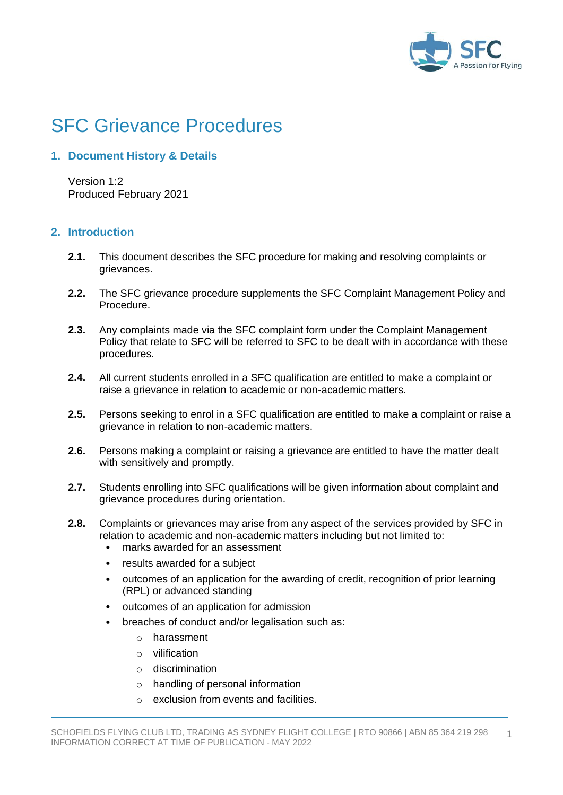

# SFC Grievance Procedures

# **1. Document History & Details**

Version 1:2 Produced February 2021

## **2. Introduction**

- **2.1.** This document describes the SFC procedure for making and resolving complaints or grievances.
- **2.2.** The SFC grievance procedure supplements the SFC Complaint Management Policy and Procedure.
- **2.3.** Any complaints made via the SFC complaint form under the Complaint Management Policy that relate to SFC will be referred to SFC to be dealt with in accordance with these procedures.
- **2.4.** All current students enrolled in a SFC qualification are entitled to make a complaint or raise a grievance in relation to academic or non-academic matters.
- **2.5.** Persons seeking to enrol in a SFC qualification are entitled to make a complaint or raise a grievance in relation to non-academic matters.
- **2.6.** Persons making a complaint or raising a grievance are entitled to have the matter dealt with sensitively and promptly.
- **2.7.** Students enrolling into SFC qualifications will be given information about complaint and grievance procedures during orientation.
- **2.8.** Complaints or grievances may arise from any aspect of the services provided by SFC in relation to academic and non-academic matters including but not limited to:
	- marks awarded for an assessment
	- results awarded for a subject
	- outcomes of an application for the awarding of credit, recognition of prior learning (RPL) or advanced standing
	- outcomes of an application for admission
	- breaches of conduct and/or legalisation such as:
		- o harassment
		- o vilification
		- o discrimination
		- o handling of personal information
		- $\circ$  exclusion from events and facilities.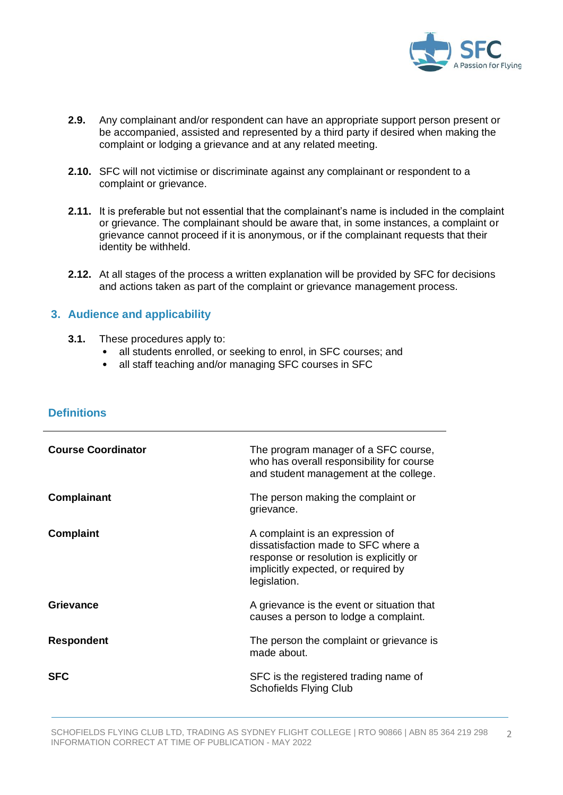

- **2.9.** Any complainant and/or respondent can have an appropriate support person present or be accompanied, assisted and represented by a third party if desired when making the complaint or lodging a grievance and at any related meeting.
- **2.10.** SFC will not victimise or discriminate against any complainant or respondent to a complaint or grievance.
- **2.11.** It is preferable but not essential that the complainant's name is included in the complaint or grievance. The complainant should be aware that, in some instances, a complaint or grievance cannot proceed if it is anonymous, or if the complainant requests that their identity be withheld.
- **2.12.** At all stages of the process a written explanation will be provided by SFC for decisions and actions taken as part of the complaint or grievance management process.

#### **3. Audience and applicability**

- **3.1.** These procedures apply to:
	- all students enrolled, or seeking to enrol, in SFC courses; and
	- all staff teaching and/or managing SFC courses in SFC

| <b>Course Coordinator</b> | The program manager of a SFC course,<br>who has overall responsibility for course<br>and student management at the college.                                              |
|---------------------------|--------------------------------------------------------------------------------------------------------------------------------------------------------------------------|
| <b>Complainant</b>        | The person making the complaint or<br>grievance.                                                                                                                         |
| Complaint                 | A complaint is an expression of<br>dissatisfaction made to SFC where a<br>response or resolution is explicitly or<br>implicitly expected, or required by<br>legislation. |
| Grievance                 | A grievance is the event or situation that<br>causes a person to lodge a complaint.                                                                                      |
| <b>Respondent</b>         | The person the complaint or grievance is<br>made about.                                                                                                                  |
| <b>SFC</b>                | SFC is the registered trading name of<br><b>Schofields Flying Club</b>                                                                                                   |

## **Definitions**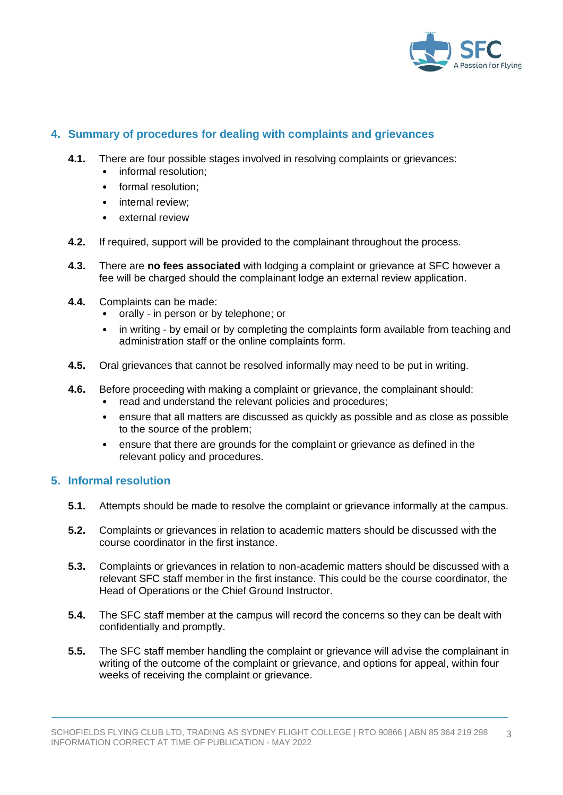

## **4. Summary of procedures for dealing with complaints and grievances**

- **4.1.** There are four possible stages involved in resolving complaints or grievances:
	- informal resolution;
	- formal resolution;
	- internal review:
	- external review
- **4.2.** If required, support will be provided to the complainant throughout the process.
- **4.3.** There are **no fees associated** with lodging a complaint or grievance at SFC however a fee will be charged should the complainant lodge an external review application.
- **4.4.** Complaints can be made:
	- orally in person or by telephone; or
	- in writing by email or by completing the complaints form available from teaching and administration staff or the online complaints form.
- **4.5.** Oral grievances that cannot be resolved informally may need to be put in writing.
- **4.6.** Before proceeding with making a complaint or grievance, the complainant should:
	- read and understand the relevant policies and procedures;
	- ensure that all matters are discussed as quickly as possible and as close as possible to the source of the problem;
	- ensure that there are grounds for the complaint or grievance as defined in the relevant policy and procedures.

#### **5. Informal resolution**

- **5.1.** Attempts should be made to resolve the complaint or grievance informally at the campus.
- **5.2.** Complaints or grievances in relation to academic matters should be discussed with the course coordinator in the first instance.
- **5.3.** Complaints or grievances in relation to non-academic matters should be discussed with a relevant SFC staff member in the first instance. This could be the course coordinator, the Head of Operations or the Chief Ground Instructor.
- **5.4.** The SFC staff member at the campus will record the concerns so they can be dealt with confidentially and promptly.
- **5.5.** The SFC staff member handling the complaint or grievance will advise the complainant in writing of the outcome of the complaint or grievance, and options for appeal, within four weeks of receiving the complaint or grievance.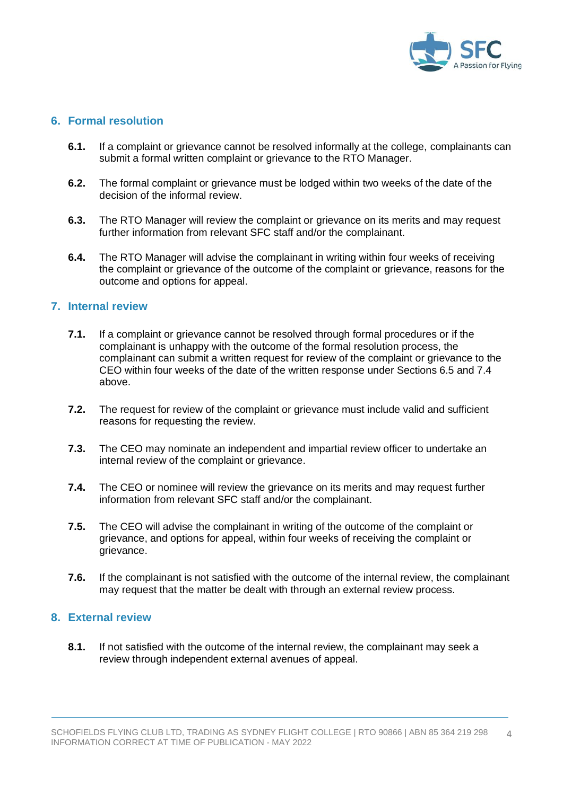

#### **6. Formal resolution**

- **6.1.** If a complaint or grievance cannot be resolved informally at the college, complainants can submit a formal written complaint or grievance to the RTO Manager.
- **6.2.** The formal complaint or grievance must be lodged within two weeks of the date of the decision of the informal review.
- **6.3.** The RTO Manager will review the complaint or grievance on its merits and may request further information from relevant SFC staff and/or the complainant.
- **6.4.** The RTO Manager will advise the complainant in writing within four weeks of receiving the complaint or grievance of the outcome of the complaint or grievance, reasons for the outcome and options for appeal.

#### **7. Internal review**

- **7.1.** If a complaint or grievance cannot be resolved through formal procedures or if the complainant is unhappy with the outcome of the formal resolution process, the complainant can submit a written request for review of the complaint or grievance to the CEO within four weeks of the date of the written response under Sections 6.5 and 7.4 above.
- **7.2.** The request for review of the complaint or grievance must include valid and sufficient reasons for requesting the review.
- **7.3.** The CEO may nominate an independent and impartial review officer to undertake an internal review of the complaint or grievance.
- **7.4.** The CEO or nominee will review the grievance on its merits and may request further information from relevant SFC staff and/or the complainant.
- **7.5.** The CEO will advise the complainant in writing of the outcome of the complaint or grievance, and options for appeal, within four weeks of receiving the complaint or grievance.
- **7.6.** If the complainant is not satisfied with the outcome of the internal review, the complainant may request that the matter be dealt with through an external review process.

#### **8. External review**

**8.1.** If not satisfied with the outcome of the internal review, the complainant may seek a review through independent external avenues of appeal.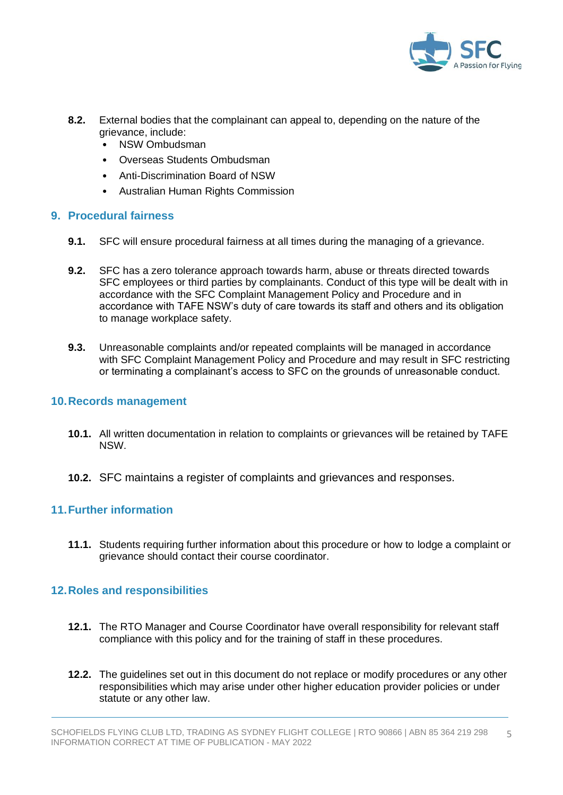

- **8.2.** External bodies that the complainant can appeal to, depending on the nature of the grievance, include:
	- NSW Ombudsman
	- Overseas Students Ombudsman
	- Anti-Discrimination Board of NSW
	- Australian Human Rights Commission

## **9. Procedural fairness**

- **9.1.** SFC will ensure procedural fairness at all times during the managing of a grievance.
- **9.2.** SFC has a zero tolerance approach towards harm, abuse or threats directed towards SFC employees or third parties by complainants. Conduct of this type will be dealt with in accordance with the SFC Complaint Management Policy and Procedure and in accordance with TAFE NSW's duty of care towards its staff and others and its obligation to manage workplace safety.
- **9.3.** Unreasonable complaints and/or repeated complaints will be managed in accordance with SFC Complaint Management Policy and Procedure and may result in SFC restricting or terminating a complainant's access to SFC on the grounds of unreasonable conduct.

## **10.Records management**

- **10.1.** All written documentation in relation to complaints or grievances will be retained by TAFE NSW.
- **10.2.** SFC maintains a register of complaints and grievances and responses.

# **11.Further information**

**11.1.** Students requiring further information about this procedure or how to lodge a complaint or grievance should contact their course coordinator.

# **12.Roles and responsibilities**

- **12.1.** The RTO Manager and Course Coordinator have overall responsibility for relevant staff compliance with this policy and for the training of staff in these procedures.
- **12.2.** The guidelines set out in this document do not replace or modify procedures or any other responsibilities which may arise under other higher education provider policies or under statute or any other law.